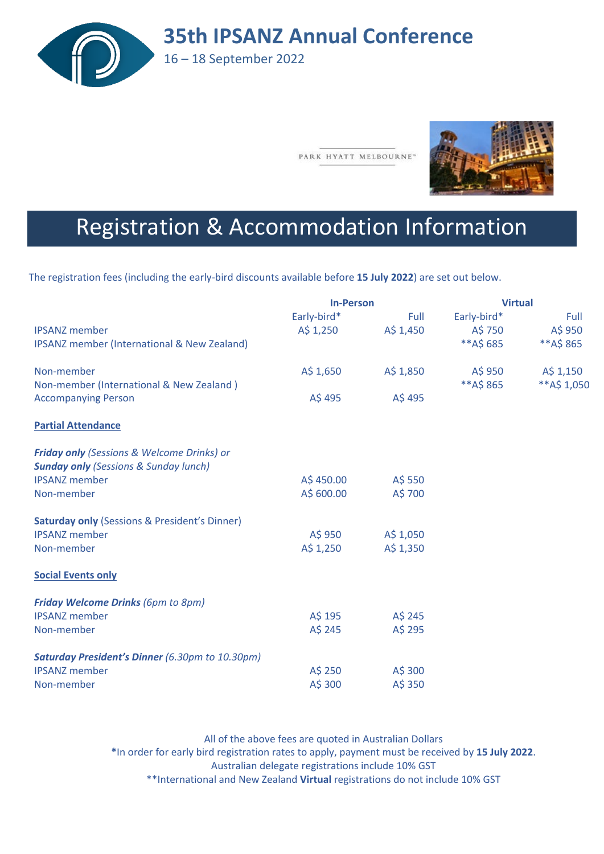

PARK HYATT MELBOURNE"



# Registration & Accommodation Information

The registration fees (including the early-bird discounts available before **15 July 2022**) are set out below.

|                                                          | <b>In-Person</b>     |           | <b>Virtual</b> |              |
|----------------------------------------------------------|----------------------|-----------|----------------|--------------|
|                                                          | Early-bird*          | Full      | Early-bird*    | Full         |
| <b>IPSANZ</b> member                                     | $A\frac{1}{2}$ , 250 | A\$ 1,450 | A\$ 750        | A\$ 950      |
| IPSANZ member (International & New Zealand)              |                      |           | **A\$685       | **A\$865     |
| Non-member                                               | A\$ 1,650            | A\$ 1,850 | A\$ 950        | A\$ 1,150    |
| Non-member (International & New Zealand)                 |                      |           | **A\$865       | ** A\$ 1,050 |
| <b>Accompanying Person</b>                               | A\$495               | A\$495    |                |              |
| <b>Partial Attendance</b>                                |                      |           |                |              |
| <b>Friday only (Sessions &amp; Welcome Drinks) or</b>    |                      |           |                |              |
| <b>Sunday only (Sessions &amp; Sunday lunch)</b>         |                      |           |                |              |
| <b>IPSANZ</b> member                                     | A\$450.00            | A\$ 550   |                |              |
| Non-member                                               | A\$ 600.00           | A\$ 700   |                |              |
| <b>Saturday only (Sessions &amp; President's Dinner)</b> |                      |           |                |              |
| <b>IPSANZ member</b>                                     | A\$ 950              | A\$ 1,050 |                |              |
| Non-member                                               | A\$ 1,250            | A\$ 1,350 |                |              |
| <b>Social Events only</b>                                |                      |           |                |              |
| <b>Friday Welcome Drinks (6pm to 8pm)</b>                |                      |           |                |              |
| <b>IPSANZ</b> member                                     | A\$ 195              | A\$ 245   |                |              |
| Non-member                                               | A\$ 245              | A\$ 295   |                |              |
| <b>Saturday President's Dinner</b> (6.30pm to 10.30pm)   |                      |           |                |              |
| <b>IPSANZ</b> member                                     | A\$ 250              | A\$ 300   |                |              |
| Non-member                                               | A\$ 300              | A\$ 350   |                |              |

All of the above fees are quoted in Australian Dollars **\***In order for early bird registration rates to apply, payment must be received by **15 July 2022**. Australian delegate registrations include 10% GST \*\*International and New Zealand **Virtual** registrations do not include 10% GST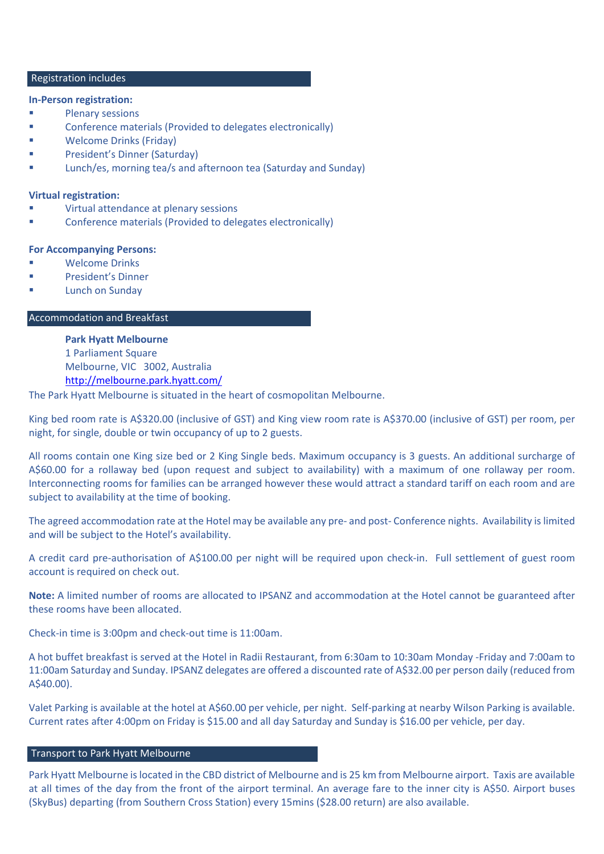#### Registration includes

#### **In-Person registration:**

- **Plenary sessions**
- **Example 2** Conference materials (Provided to delegates electronically)
- Welcome Drinks (Friday)
- President's Dinner (Saturday)
- Lunch/es, morning tea/s and afternoon tea (Saturday and Sunday)

# **Virtual registration:**

- Virtual attendance at plenary sessions
- Conference materials (Provided to delegates electronically)

#### **For Accompanying Persons:**

- Welcome Drinks
- President's Dinner
- Lunch on Sunday

# Accommodation and Breakfast

**Park Hyatt Melbourne** 1 Parliament Square Melbourne, VIC 3002, Australia <http://melbourne.park.hyatt.com/>

The Park Hyatt Melbourne is situated in the heart of cosmopolitan Melbourne.

King bed room rate is A\$320.00 (inclusive of GST) and King view room rate is A\$370.00 (inclusive of GST) per room, per night, for single, double or twin occupancy of up to 2 guests.

All rooms contain one King size bed or 2 King Single beds. Maximum occupancy is 3 guests. An additional surcharge of A\$60.00 for a rollaway bed (upon request and subject to availability) with a maximum of one rollaway per room. Interconnecting rooms for families can be arranged however these would attract a standard tariff on each room and are subject to availability at the time of booking.

The agreed accommodation rate at the Hotel may be available any pre- and post- Conference nights. Availability is limited and will be subject to the Hotel's availability.

A credit card pre-authorisation of A\$100.00 per night will be required upon check-in. Full settlement of guest room account is required on check out.

**Note:** A limited number of rooms are allocated to IPSANZ and accommodation at the Hotel cannot be guaranteed after these rooms have been allocated.

Check-in time is 3:00pm and check-out time is 11:00am.

A hot buffet breakfast is served at the Hotel in Radii Restaurant, from 6:30am to 10:30am Monday -Friday and 7:00am to 11:00am Saturday and Sunday. IPSANZ delegates are offered a discounted rate of A\$32.00 per person daily (reduced from A\$40.00).

Valet Parking is available at the hotel at A\$60.00 per vehicle, per night. Self-parking at nearby Wilson Parking is available. Current rates after 4:00pm on Friday is \$15.00 and all day Saturday and Sunday is \$16.00 per vehicle, per day.

#### Transport to Park Hyatt Melbourne

Park Hyatt Melbourne is located in the CBD district of Melbourne and is 25 km from Melbourne airport. Taxis are available at all times of the day from the front of the airport terminal. An average fare to the inner city is A\$50. Airport buses (SkyBus) departing (from Southern Cross Station) every 15mins (\$28.00 return) are also available.